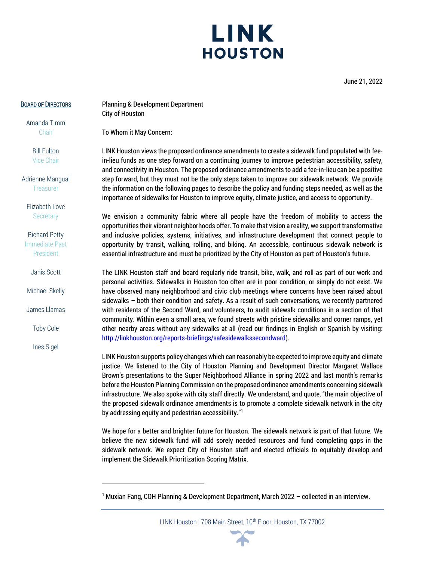## LINK **HOUSTON**

June 21, 2022

#### BOARD OF DIRECTORS

Amanda Timm **Chair** 

> Bill Fulton Vice Chair

Adrienne Mangual **Treasurer** 

Elizabeth Love **Secretary** 

Richard Petty Immediate Past President

Janis Scott

Michael Skelly

James Llamas

Toby Cole

Ines Sigel

Planning & Development Department City of Houston

To Whom it May Concern:

LINK Houston views the proposed ordinance amendments to create a sidewalk fund populated with feein-lieu funds as one step forward on a continuing journey to improve pedestrian accessibility, safety, and connectivity in Houston. The proposed ordinance amendments to add a fee-in-lieu can be a positive step forward, but they must not be the only steps taken to improve our sidewalk network. We provide the information on the following pages to describe the policy and funding steps needed, as well as the importance of sidewalks for Houston to improve equity, climate justice, and access to opportunity.

We envision a community fabric where all people have the freedom of mobility to access the opportunities their vibrant neighborhoods offer. To make that vision a reality, we support transformative and inclusive policies, systems, initiatives, and infrastructure development that connect people to opportunity by transit, walking, rolling, and biking. An accessible, continuous sidewalk network is essential infrastructure and must be prioritized by the City of Houston as part of Houston's future.

The LINK Houston staff and board regularly ride transit, bike, walk, and roll as part of our work and personal activities. Sidewalks in Houston too often are in poor condition, or simply do not exist. We have observed many neighborhood and civic club meetings where concerns have been raised about sidewalks – both their condition and safety. As a result of such conversations, we recently partnered with residents of the Second Ward, and volunteers, to audit sidewalk conditions in a section of that community. Within even a small area, we found streets with pristine sidewalks and corner ramps, yet other nearby areas without any sidewalks at all (read our findings in English or Spanish by visiting: [http://linkhouston.org/reports-briefings/safesidewalkssecondward\)](http://linkhouston.org/reports-briefings/safesidewalkssecondward).

LINK Houston supports policy changes which can reasonably be expected to improve equity and climate justice. We listened to the City of Houston Planning and Development Director Margaret Wallace Brown's presentations to the Super Neighborhood Alliance in spring 2022 and last month's remarks before the Houston Planning Commission on the proposed ordinance amendments concerning sidewalk infrastructure. We also spoke with city staff directly. We understand, and quote, "the main objective of the proposed sidewalk ordinance amendments is to promote a complete sidewalk network in the city by addressing equity and pedestrian accessibility."<sup>1</sup>

We hope for a better and brighter future for Houston. The sidewalk network is part of that future. We believe the new sidewalk fund will add sorely needed resources and fund completing gaps in the sidewalk network. We expect City of Houston staff and elected officials to equitably develop and implement the Sidewalk Prioritization Scoring Matrix.



<sup>&</sup>lt;sup>1</sup> Muxian Fang, COH Planning & Development Department, March 2022 – collected in an interview.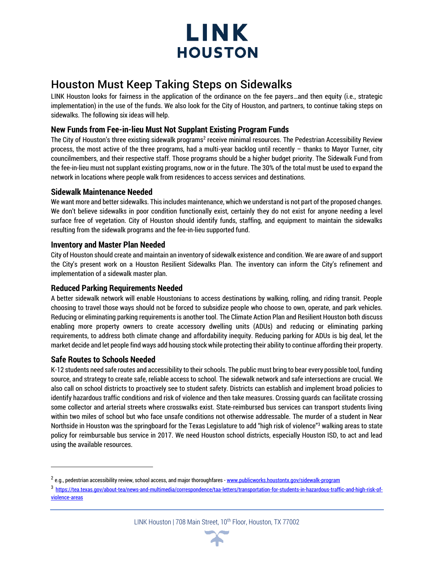

### Houston Must Keep Taking Steps on Sidewalks

LINK Houston looks for fairness in the application of the ordinance on the fee payers…and then equity (i.e., strategic implementation) in the use of the funds. We also look for the City of Houston, and partners, to continue taking steps on sidewalks. The following six ideas will help.

### **New Funds from Fee-in-lieu Must Not Supplant Existing Program Funds**

The City of Houston's three existing sidewalk programs<sup>2</sup> receive minimal resources. The Pedestrian Accessibility Review process, the most active of the three programs, had a multi-year backlog until recently – thanks to Mayor Turner, city councilmembers, and their respective staff. Those programs should be a higher budget priority. The Sidewalk Fund from the fee-in-lieu must not supplant existing programs, now or in the future. The 30% of the total must be used to expand the network in locations where people walk from residences to access services and destinations.

#### **Sidewalk Maintenance Needed**

We want more and better sidewalks. This includes maintenance, which we understand is not part of the proposed changes. We don't believe sidewalks in poor condition functionally exist, certainly they do not exist for anyone needing a level surface free of vegetation. City of Houston should identify funds, staffing, and equipment to maintain the sidewalks resulting from the sidewalk programs and the fee-in-lieu supported fund.

#### **Inventory and Master Plan Needed**

City of Houston should create and maintain an inventory of sidewalk existence and condition. We are aware of and support the City's present work on a Houston Resilient Sidewalks Plan. The inventory can inform the City's refinement and implementation of a sidewalk master plan.

#### **Reduced Parking Requirements Needed**

A better sidewalk network will enable Houstonians to access destinations by walking, rolling, and riding transit. People choosing to travel those ways should not be forced to subsidize people who choose to own, operate, and park vehicles. Reducing or eliminating parking requirements is another tool. The Climate Action Plan and Resilient Houston both discuss enabling more property owners to create accessory dwelling units (ADUs) and reducing or eliminating parking requirements, to address both climate change and affordability inequity. Reducing parking for ADUs is big deal, let the market decide and let people find ways add housing stock while protecting their ability to continue affording their property.

#### **Safe Routes to Schools Needed**

K-12 students need safe routes and accessibility to their schools. The public must bring to bear every possible tool, funding source, and strategy to create safe, reliable access to school. The sidewalk network and safe intersections are crucial. We also call on school districts to proactively see to student safety. Districts can establish and implement broad policies to identify hazardous traffic conditions and risk of violence and then take measures. Crossing guards can facilitate crossing some collector and arterial streets where crosswalks exist. State-reimbursed bus services can transport students living within two miles of school but who face unsafe conditions not otherwise addressable. The murder of a student in Near Northside in Houston was the springboard for the Texas Legislature to add "high risk of violence"<sup>3</sup> walking areas to state policy for reimbursable bus service in 2017. We need Houston school districts, especially Houston ISD, to act and lead using the available resources.

LINK Houston | 708 Main Street, 10<sup>th</sup> Floor, Houston, TX 77002



<sup>&</sup>lt;sup>2</sup> e.g., pedestrian accessibility review, school access, and major thoroughfares - <u>[www.publicworks.houstontx.gov/sidewalk-program](http://www.publicworks.houstontx.gov/sidewalk-program)</u>

<sup>3</sup> [https://tea.texas.gov/about-tea/news-and-multimedia/correspondence/taa-letters/transportation-for-students-in-hazardous-traffic-and-high-risk-of](https://tea.texas.gov/about-tea/news-and-multimedia/correspondence/taa-letters/transportation-for-students-in-hazardous-traffic-and-high-risk-of-violence-areas)[violence-areas](https://tea.texas.gov/about-tea/news-and-multimedia/correspondence/taa-letters/transportation-for-students-in-hazardous-traffic-and-high-risk-of-violence-areas)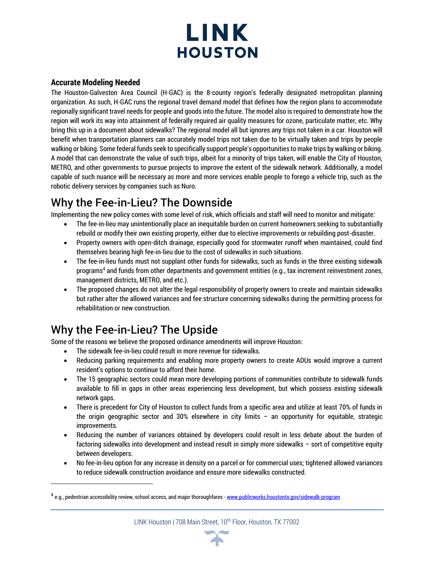

#### **Accurate Modeling Needed**

The Houston-Galveston Area Council (H-GAC) is the 8-county region's federally designated metropolitan planning organization. As such, H-GAC runs the regional travel demand model that defines how the region plans to accommodate regionally significant travel needs for people and goods into the future. The model also is required to demonstrate how the region will work its way into attainment of federally required air quality measures for ozone, particulate matter, etc. Why bring this up in a document about sidewalks? The regional model all but ignores any trips not taken in a car. Houston will benefit when transportation planners can accurately model trips not taken due to be virtually taken and trips by people walking or biking. Some federal funds seek to specifically support people's opportunities to make trips by walking or biking. A model that can demonstrate the value of such trips, albeit for a minority of trips taken, will enable the City of Houston, METRO, and other governments to pursue projects to improve the extent of the sidewalk network. Additionally, a model capable of such nuance will be necessary as more and more services enable people to forego a vehicle trip, such as the robotic delivery services by companies such as Nuro.

## Why the Fee-in-Lieu? The Downside

Implementing the new policy comes with some level of risk, which officials and staff will need to monitor and mitigate:

- The fee-in-lieu may unintentionally place an inequitable burden on current homeowners seeking to substantially rebuild or modify their own existing property, either due to elective improvements or rebuilding post-disaster.
- Property owners with open-ditch drainage, especially good for stormwater runoff when maintained, could find themselves bearing high fee-in-lieu due to the cost of sidewalks in such situations.
- The fee-in-lieu funds must not supplant other funds for sidewalks, such as funds in the three existing sidewalk programs<sup>4</sup> and funds from other departments and government entities (e.g., tax increment reinvestment zones, management districts, METRO, and etc.).
- The proposed changes do not alter the legal responsibility of property owners to create and maintain sidewalks but rather alter the allowed variances and fee structure concerning sidewalks during the permitting process for rehabilitation or new construction.

## Why the Fee-in-Lieu? The Upside

Some of the reasons we believe the proposed ordinance amendments will improve Houston:

- The sidewalk fee-in-lieu could result in more revenue for sidewalks.
- Reducing parking requirements and enabling more property owners to create ADUs would improve a current resident's options to continue to afford their home.
- The 15 geographic sectors could mean more developing portions of communities contribute to sidewalk funds available to fill in gaps in other areas experiencing less development, but which possess existing sidewalk network gaps.
- There is precedent for City of Houston to collect funds from a specific area and utilize at least 70% of funds in the origin geographic sector and 30% elsewhere in city limits – an opportunity for equitable, strategic improvements.
- Reducing the number of variances obtained by developers could result in less debate about the burden of factoring sidewalks into development and instead result in simply more sidewalks – sort of competitive equity between developers.
- No fee-in-lieu option for any increase in density on a parcel or for commercial uses; tightened allowed variances to reduce sidewalk construction avoidance and ensure more sidewalks constructed.



<sup>&</sup>lt;sup>4</sup> e.g., pedestrian accessibility review, school access, and major thoroughfares - <u>[www.publicworks.houstontx.gov/sidewalk-program](http://www.publicworks.houstontx.gov/sidewalk-program)</u>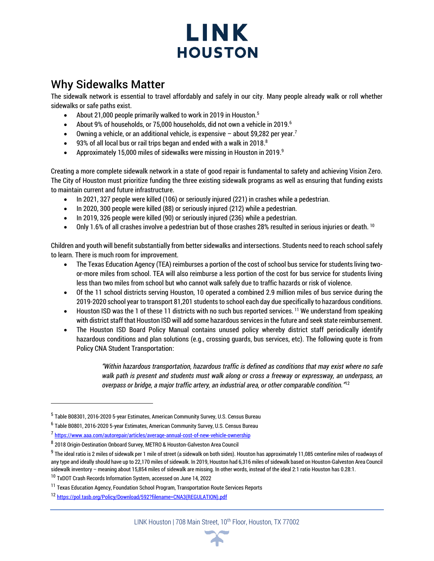# LINK **HOUSTON**

## Why Sidewalks Matter

The sidewalk network is essential to travel affordably and safely in our city. Many people already walk or roll whether sidewalks or safe paths exist.

- About 21,000 people primarily walked to work in 2019 in Houston.<sup>5</sup>
- About 9% of households, or 75,000 households, did not own a vehicle in 2019.<sup>6</sup>
- Owning a vehicle, or an additional vehicle, is expensive about \$9,282 per year.<sup>7</sup>
- $\bullet$  93% of all local bus or rail trips began and ended with a walk in 2018.
- Approximately 15,000 miles of sidewalks were missing in Houston in 2019. 9

Creating a more complete sidewalk network in a state of good repair is fundamental to safety and achieving Vision Zero. The City of Houston must prioritize funding the three existing sidewalk programs as well as ensuring that funding exists to maintain current and future infrastructure.

- In 2021, 327 people were killed (106) or seriously injured (221) in crashes while a pedestrian.
- In 2020, 300 people were killed (88) or seriously injured (212) while a pedestrian.
- In 2019, 326 people were killed (90) or seriously injured (236) while a pedestrian.
- Only 1.6% of all crashes involve a pedestrian but of those crashes 28% resulted in serious injuries or death. <sup>10</sup>

Children and youth will benefit substantially from better sidewalks and intersections. Students need to reach school safely to learn. There is much room for improvement.

- The Texas Education Agency (TEA) reimburses a portion of the cost of school bus service for students living twoor-more miles from school. TEA will also reimburse a less portion of the cost for bus service for students living less than two miles from school but who cannot walk safely due to traffic hazards or risk of violence.
- Of the 11 school districts serving Houston, 10 operated a combined 2.9 million miles of bus service during the 2019-2020 school year to transport 81,201 students to school each day due specifically to hazardous conditions.
- Houston ISD was the 1 of these 11 districts with no such bus reported services. <sup>11</sup> We understand from speaking with district staff that Houston ISD will add some hazardous services in the future and seek state reimbursement.
- The Houston ISD Board Policy Manual contains unused policy whereby district staff periodically identify hazardous conditions and plan solutions (e.g., crossing guards, bus services, etc). The following quote is from Policy CNA Student Transportation:

*"Within hazardous transportation, hazardous traffic is defined as conditions that may exist where no safe walk path is present and students must walk along or cross a freeway or expressway, an underpass, an overpass or bridge, a major traffic artery, an industrial area, or other comparable condition."* 12



<sup>&</sup>lt;sup>5</sup> Table B08301, 2016-2020 5-year Estimates, American Community Survey, U.S. Census Bureau

<sup>&</sup>lt;sup>6</sup> Table B0801, 2016-2020 5-year Estimates, American Community Survey, U.S. Census Bureau

<sup>&</sup>lt;sup>7</sup> <https://www.aaa.com/autorepair/articles/average-annual-cost-of-new-vehicle-ownership>

<sup>&</sup>lt;sup>8</sup> 2018 Origin-Destination Onboard Survey, METRO & Houston-Galveston Area Council

 $^9$  The ideal ratio is 2 miles of sidewalk per 1 mile of street (a sidewalk on both sides). Houston has approximately 11,085 centerline miles of roadways of any type and ideally should have up to 22,170 miles of sidewalk. In 2019, Houston had 6,316 miles of sidewalk based on Houston-Galveston Area Council sidewalk inventory – meaning about 15,854 miles of sidewalk are missing. In other words, instead of the ideal 2:1 ratio Houston has 0.28:1.

<sup>&</sup>lt;sup>10</sup> TxDOT Crash Records Information System, accessed on June 14, 2022

<sup>&</sup>lt;sup>11</sup> Texas Education Agency, Foundation School Program, Transportation Route Services Reports

<sup>12</sup> [https://pol.tasb.org/Policy/Download/592?filename=CNA3\(REGULATION\).pdf](https://pol.tasb.org/Policy/Download/592?filename=CNA3(REGULATION).pdf)